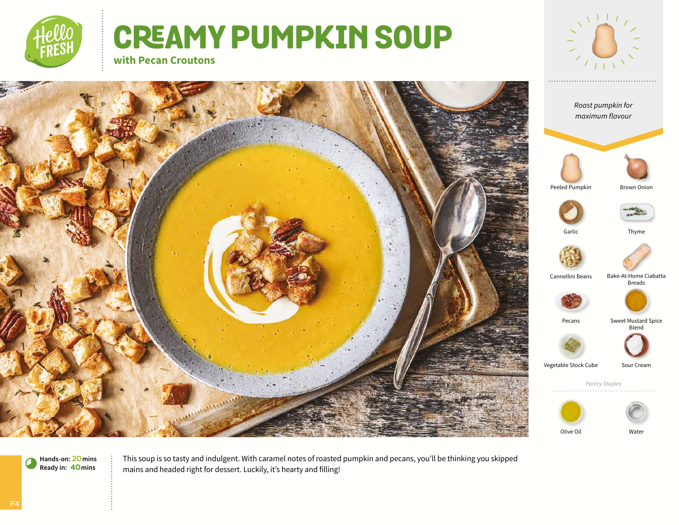

# **CREAMY PUMPKIN SOUP**



Breads

Blend

**with Pecan Croutons** 



This soup is so tasty and indulgent. With caramel notes of roasted pumpkin and pecans, you'll be thinking you skipped mains and headed right for dessert. Luckily, it's hearty and filling!

**Hands-on: 20mins** 8**Ready in: 40mins**